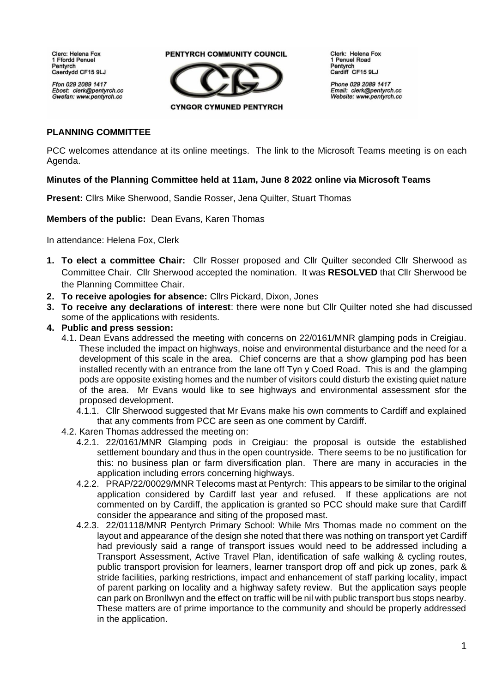**Clerc: Helena Fox** 1 Ffordd Penuel Pentvrch Caerdydd CF15 9LJ

Ffon 029 2089 1417 Ebost: clerk@pentyrch.cc Gwefan: www.pentyrch.cc

## PENTYRCH COMMUNITY COUNCIL



Clerk: Helena Fox 1 Penuel Road Pentyrch Cardiff CF15 9LJ

Phone 029 2089 1417 Email: clerk@pentyrch.cc Website: www.pentyrch.cc

## **PLANNING COMMITTEE**

PCC welcomes attendance at its online meetings. The link to the Microsoft Teams meeting is on each Agenda.

## **Minutes of the Planning Committee held at 11am, June 8 2022 online via Microsoft Teams**

**Present:** Cllrs Mike Sherwood, Sandie Rosser, Jena Quilter, Stuart Thomas

**Members of the public:** Dean Evans, Karen Thomas

In attendance: Helena Fox, Clerk

- **1. To elect a committee Chair:** Cllr Rosser proposed and Cllr Quilter seconded Cllr Sherwood as Committee Chair. Cllr Sherwood accepted the nomination. It was **RESOLVED** that Cllr Sherwood be the Planning Committee Chair.
- **2. To receive apologies for absence:** Cllrs Pickard, Dixon, Jones
- **3. To receive any declarations of interest**: there were none but Cllr Quilter noted she had discussed some of the applications with residents.
- **4. Public and press session:** 
	- 4.1. Dean Evans addressed the meeting with concerns on 22/0161/MNR glamping pods in Creigiau. These included the impact on highways, noise and environmental disturbance and the need for a development of this scale in the area. Chief concerns are that a show glamping pod has been installed recently with an entrance from the lane off Tyn y Coed Road. This is and the glamping pods are opposite existing homes and the number of visitors could disturb the existing quiet nature of the area. Mr Evans would like to see highways and environmental assessment sfor the proposed development.
		- 4.1.1. Cllr Sherwood suggested that Mr Evans make his own comments to Cardiff and explained that any comments from PCC are seen as one comment by Cardiff.
	- 4.2. Karen Thomas addressed the meeting on:
		- 4.2.1. 22/0161/MNR Glamping pods in Creigiau: the proposal is outside the established settlement boundary and thus in the open countryside. There seems to be no justification for this: no business plan or farm diversification plan. There are many in accuracies in the application including errors concerning highways.
		- 4.2.2. PRAP/22/00029/MNR Telecoms mast at Pentyrch: This appears to be similar to the original application considered by Cardiff last year and refused. If these applications are not commented on by Cardiff, the application is granted so PCC should make sure that Cardiff consider the appearance and siting of the proposed mast.
		- 4.2.3. 22/01118/MNR Pentyrch Primary School: While Mrs Thomas made no comment on the layout and appearance of the design she noted that there was nothing on transport yet Cardiff had previously said a range of transport issues would need to be addressed including a Transport Assessment, Active Travel Plan, identification of safe walking & cycling routes, public transport provision for learners, learner transport drop off and pick up zones, park & stride facilities, parking restrictions, impact and enhancement of staff parking locality, impact of parent parking on locality and a highway safety review. But the application says people can park on Bronllwyn and the effect on traffic will be nil with public transport bus stops nearby. These matters are of prime importance to the community and should be properly addressed in the application.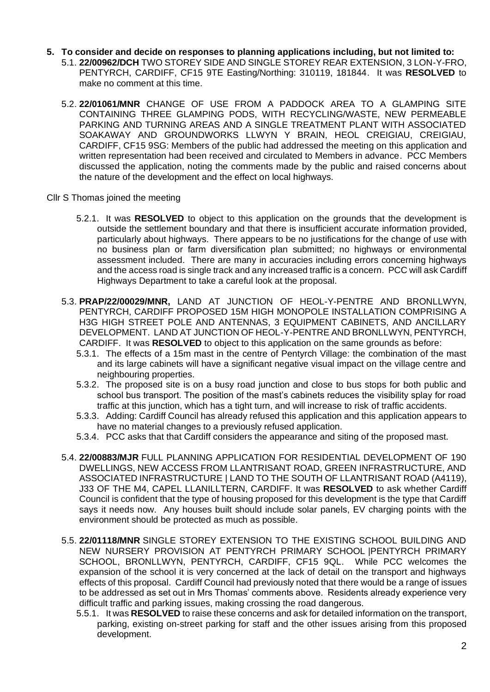- **5. To consider and decide on responses to planning applications including, but not limited to:**
	- 5.1. **22/00962/DCH** TWO STOREY SIDE AND SINGLE STOREY REAR EXTENSION, 3 LON-Y-FRO, PENTYRCH, CARDIFF, CF15 9TE Easting/Northing: 310119, 181844. It was **RESOLVED** to make no comment at this time.
	- 5.2. **22/01061/MNR** CHANGE OF USE FROM A PADDOCK AREA TO A GLAMPING SITE CONTAINING THREE GLAMPING PODS, WITH RECYCLING/WASTE, NEW PERMEABLE PARKING AND TURNING AREAS AND A SINGLE TREATMENT PLANT WITH ASSOCIATED SOAKAWAY AND GROUNDWORKS LLWYN Y BRAIN, HEOL CREIGIAU, CREIGIAU, CARDIFF, CF15 9SG: Members of the public had addressed the meeting on this application and written representation had been received and circulated to Members in advance. PCC Members discussed the application, noting the comments made by the public and raised concerns about the nature of the development and the effect on local highways.
- Cllr S Thomas joined the meeting
	- 5.2.1. It was **RESOLVED** to object to this application on the grounds that the development is outside the settlement boundary and that there is insufficient accurate information provided, particularly about highways. There appears to be no justifications for the change of use with no business plan or farm diversification plan submitted; no highways or environmental assessment included. There are many in accuracies including errors concerning highways and the access road is single track and any increased traffic is a concern. PCC will ask Cardiff Highways Department to take a careful look at the proposal.
	- 5.3. **PRAP/22/00029/MNR,** LAND AT JUNCTION OF HEOL-Y-PENTRE AND BRONLLWYN, PENTYRCH, CARDIFF PROPOSED 15M HIGH MONOPOLE INSTALLATION COMPRISING A H3G HIGH STREET POLE AND ANTENNAS, 3 EQUIPMENT CABINETS, AND ANCILLARY DEVELOPMENT. LAND AT JUNCTION OF HEOL-Y-PENTRE AND BRONLLWYN, PENTYRCH, CARDIFF. It was **RESOLVED** to object to this application on the same grounds as before:
		- 5.3.1. The effects of a 15m mast in the centre of Pentyrch Village: the combination of the mast and its large cabinets will have a significant negative visual impact on the village centre and neighbouring properties.
		- 5.3.2. The proposed site is on a busy road junction and close to bus stops for both public and school bus transport. The position of the mast's cabinets reduces the visibility splay for road traffic at this junction, which has a tight turn, and will increase to risk of traffic accidents.
		- 5.3.3. Adding: Cardiff Council has already refused this application and this application appears to have no material changes to a previously refused application.
		- 5.3.4. PCC asks that that Cardiff considers the appearance and siting of the proposed mast.
	- 5.4. **22/00883/MJR** FULL PLANNING APPLICATION FOR RESIDENTIAL DEVELOPMENT OF 190 DWELLINGS, NEW ACCESS FROM LLANTRISANT ROAD, GREEN INFRASTRUCTURE, AND ASSOCIATED INFRASTRUCTURE | LAND TO THE SOUTH OF LLANTRISANT ROAD (A4119), J33 OF THE M4, CAPEL LLANILLTERN, CARDIFF. It was **RESOLVED** to ask whether Cardiff Council is confident that the type of housing proposed for this development is the type that Cardiff says it needs now. Any houses built should include solar panels, EV charging points with the environment should be protected as much as possible.
	- 5.5. **22/01118/MNR** SINGLE STOREY EXTENSION TO THE EXISTING SCHOOL BUILDING AND NEW NURSERY PROVISION AT PENTYRCH PRIMARY SCHOOL |PENTYRCH PRIMARY SCHOOL, BRONLLWYN, PENTYRCH, CARDIFF, CF15 9QL. While PCC welcomes the expansion of the school it is very concerned at the lack of detail on the transport and highways effects of this proposal. Cardiff Council had previously noted that there would be a range of issues to be addressed as set out in Mrs Thomas' comments above. Residents already experience very difficult traffic and parking issues, making crossing the road dangerous.
		- 5.5.1. It was **RESOLVED** to raise these concerns and ask for detailed information on the transport, parking, existing on-street parking for staff and the other issues arising from this proposed development.